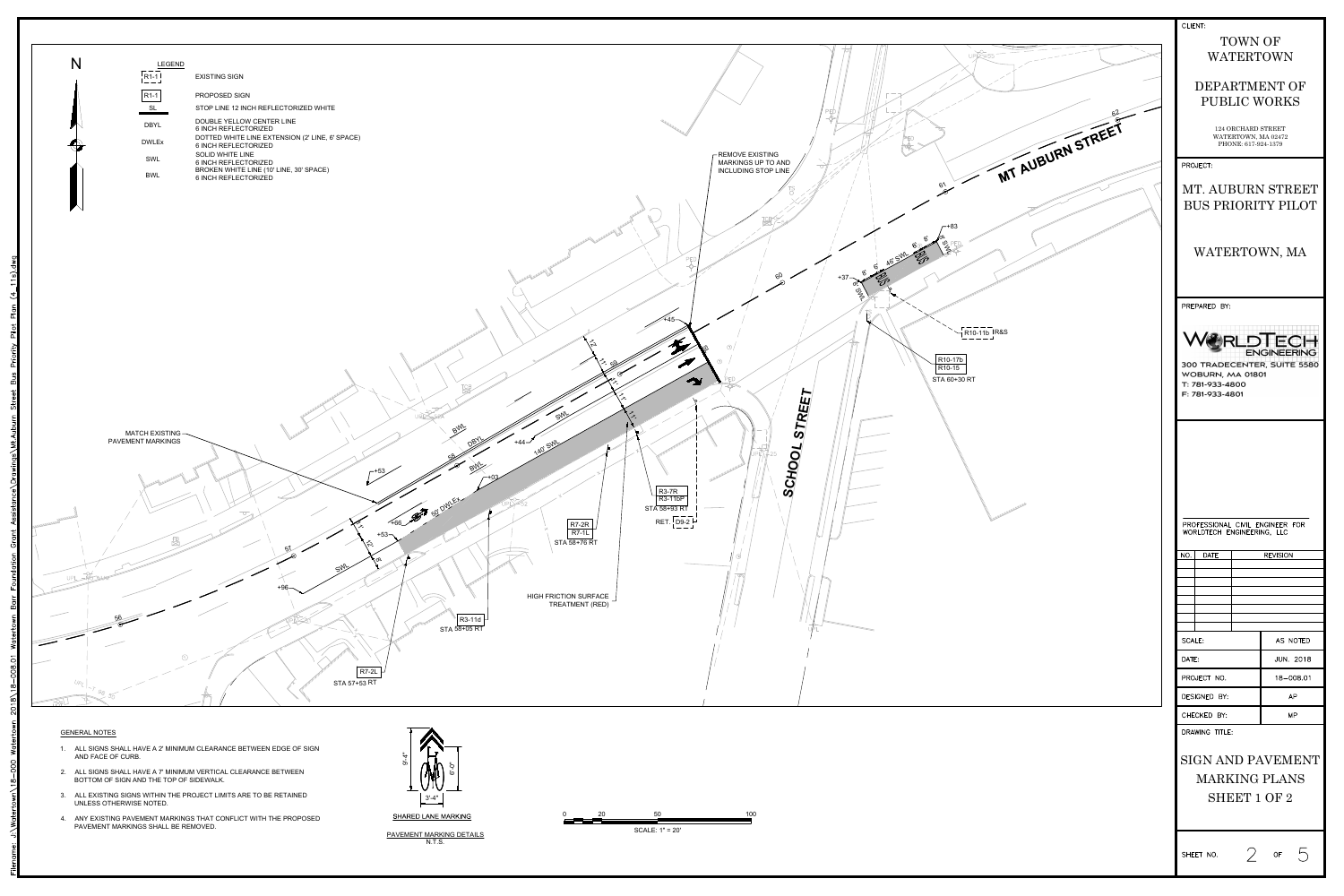|                                                                                                | <b>CLIENT:</b>                                                                                                                                                               |                                    |
|------------------------------------------------------------------------------------------------|------------------------------------------------------------------------------------------------------------------------------------------------------------------------------|------------------------------------|
| $UPK = 55$                                                                                     | TOWN OF<br><b>WATERTOWN</b>                                                                                                                                                  |                                    |
|                                                                                                | DEPARTMENT OF<br>PUBLIC WORKS                                                                                                                                                |                                    |
| MT AUBURN STREET                                                                               | 124 ORCHARD STREET<br>WATERTOWN, MA 02472<br>PHONE: 617-924-1379                                                                                                             |                                    |
|                                                                                                | PROJECT:                                                                                                                                                                     |                                    |
| $6\frac{1}{2}$<br>$+83$                                                                        | MT. AUBURN STREET<br>BUS PRIORITY PILOT                                                                                                                                      |                                    |
| <b>SPI</b>                                                                                     | WATERTOWN, MA                                                                                                                                                                |                                    |
|                                                                                                | PREPARED BY:                                                                                                                                                                 |                                    |
| R10-11b R&S<br>R <sub>10</sub> -17b<br>R <sub>10</sub> -15<br>STA 60+30 RT<br>We Communication | 300 TRADECENTER, SUITE 5580<br>WOBURN, MA 01801<br>T: 781-933-4800<br>F: 781-933-4801<br>PROFESSIONAL CIVIL ENGINEER FOR<br>WORLDTECH ENGINEERING, LLC<br><b>DATE</b><br>NO. | <b>ERLDTECH</b><br><b>REVISION</b> |
|                                                                                                |                                                                                                                                                                              |                                    |
|                                                                                                |                                                                                                                                                                              |                                    |
|                                                                                                | <b>SCALE:</b>                                                                                                                                                                | AS NOTED                           |
|                                                                                                | DATE:                                                                                                                                                                        | <b>JUN. 2018</b>                   |
|                                                                                                | PROJECT NO.                                                                                                                                                                  | 18-008.01                          |
|                                                                                                | DESIGNED BY:                                                                                                                                                                 | AP                                 |
|                                                                                                | CHECKED BY:<br>DRAWING TITLE:                                                                                                                                                | <b>MP</b>                          |
|                                                                                                | SIGN AND PAVEMENT<br><b>MARKING PLANS</b><br>SHEET 1 OF 2                                                                                                                    |                                    |
|                                                                                                | $\bigg)$<br>SHEET NO.                                                                                                                                                        | $5\overline{)}$<br>OF              |







| LEGEND       |                                                                                |
|--------------|--------------------------------------------------------------------------------|
| $R1-1$       | <b>EXISTING SIGN</b>                                                           |
| $R1-1$       | <b>PROPOSED SIGN</b>                                                           |
| SL           | STOP LINE 12 INCH REFLECTORIZED WHITE                                          |
| <b>DBYL</b>  | <b>DOUBLE YELLOW CENTER LINE</b><br><b>6 INCH REFLECTORIZED</b>                |
| <b>DWLEx</b> | DOTTED WHITE LINE EXTENSION (2' LINE, 6' SPACE)<br><b>6 INCH REFLECTORIZED</b> |
| <b>SWL</b>   | <b>SOLID WHITE LINE</b><br><b>6 INCH REFLECTORIZED</b>                         |
| <b>BWL</b>   | BROKEN WHITE LINE (10' LINE, 30' SPACE)<br><b>6 INCH REFLECTORIZED</b>         |
|              |                                                                                |

#### GENERAL NOTES

BOTTOM OF SIGN AND THE TOP OF SIDEWALK.

- 4. ANY EXISTING PAVEMENT MARKINGS THAT CONFLICT WITH THE PROPOSED
- 
- 
- 
- PAVEMENT MARKINGS SHALL BE REMOVED.
- PAVEMENT MARKING DETAILS
- 

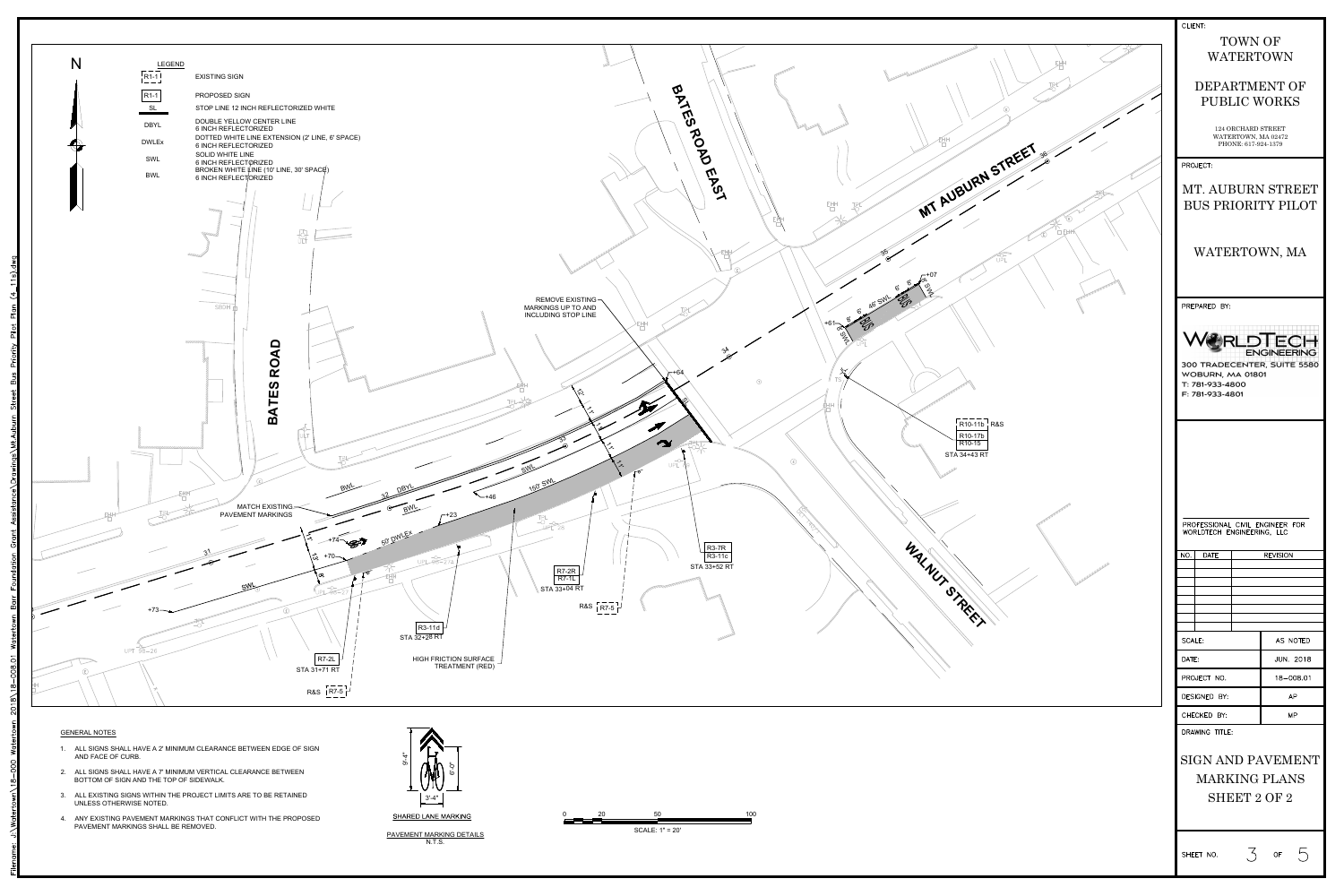

- 
- 
- 
-